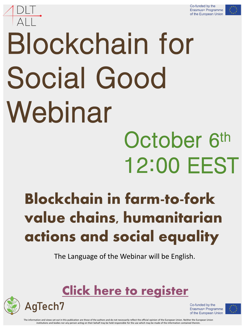

# Blockchain for Social Good Webinar October 6th 12:00 EEST

# Blockchain in farm-to-fork value chains, humanitarian actions and social equality

The Language of the Webinar will be English.

## [Click here to register](https://us06web.zoom.us/webinar/register/2016333256712/WN_Z7Byqb7pRreC4J6sj3NYUg)



Co-funded by the Erasmus+ Programme of the European Union



The information and views set out in this publication are those of the authors and do not necessarily reflect the official opinion of the European Union. Neither the European Union institutions and bodies nor any person acting on their behalf may be held responsible for the use which may be made of the information contained therein.